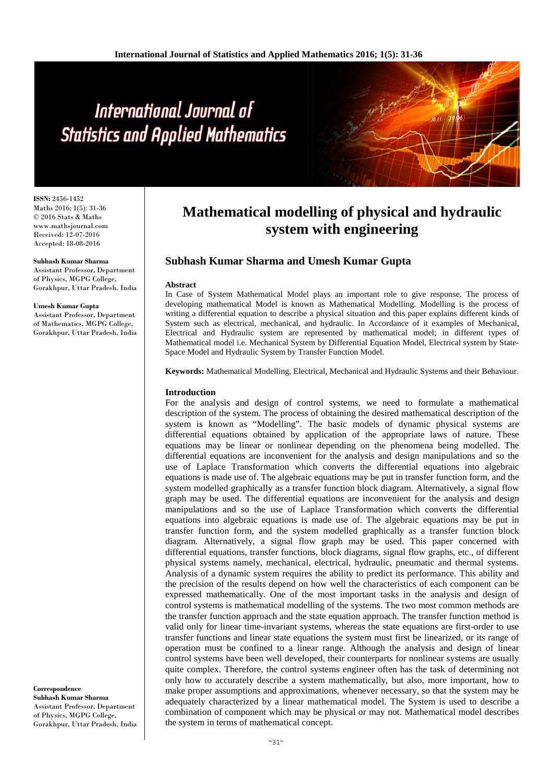**ISSN:** 2456-1452 Maths 2016; 1(5): 31-36 © 2016 Stats & Maths www.mathsjournal.com Received: 12-07-2016 Accepted: 18-08-2016

#### **Subhash Kumar Sharma**

Assistant Professor, Department of Physics, MGPG College, Gorakhpur, Uttar Pradesh, India

#### **Umesh Kumar Gupta**

Assistant Professor, Department of Mathematics, MGPG College, Gorakhpur, Uttar Pradesh, India

**Correspondence Subhash Kumar Sharma** Assistant Professor, Department of Physics, MGPG College, Gorakhpur, Uttar Pradesh, India

# **Mathematical modelling of physical and hydraulic system with engineering**

# **Subhash Kumar Sharma and Umesh Kumar Gupta**

#### **Abstract**

In Case of System Mathematical Model plays an important role to give response. The process of developing mathematical Model is known as Mathematical Modelling. Modelling is the process of writing a differential equation to describe a physical situation and this paper explains different kinds of System such as electrical, mechanical, and hydraulic. In Accordance of it examples of Mechanical, Electrical and Hydraulic system are represented by mathematical model; in different types of Mathematical model i.e. Mechanical System by Differential Equation Model, Electrical system by State-Space Model and Hydraulic System by Transfer Function Model.

**Keywords:** Mathematical Modelling, Electrical, Mechanical and Hydraulic Systems and their Behaviour.

#### **Introduction**

For the analysis and design of control systems, we need to formulate a mathematical description of the system. The process of obtaining the desired mathematical description of the system is known as "Modelling". The basic models of dynamic physical systems are differential equations obtained by application of the appropriate laws of nature. These equations may be linear or nonlinear depending on the phenomena being modelled. The differential equations are inconvenient for the analysis and design manipulations and so the use of Laplace Transformation which converts the differential equations into algebraic equations is made use of. The algebraic equations may be put in transfer function form, and the system modelled graphically as a transfer function block diagram. Alternatively, a signal flow graph may be used. The differential equations are inconvenient for the analysis and design manipulations and so the use of Laplace Transformation which converts the differential equations into algebraic equations is made use of. The algebraic equations may be put in transfer function form, and the system modelled graphically as a transfer function block diagram. Alternatively, a signal flow graph may be used. This paper concerned with differential equations, transfer functions, block diagrams, signal flow graphs, etc., of different physical systems namely, mechanical, electrical, hydraulic, pneumatic and thermal systems. Analysis of a dynamic system requires the ability to predict its performance. This ability and the precision of the results depend on how well the characteristics of each component can be expressed mathematically. One of the most important tasks in the analysis and design of control systems is mathematical modelling of the systems. The two most common methods are the transfer function approach and the state equation approach. The transfer function method is valid only for linear time-invariant systems, whereas the state equations are first-order to use transfer functions and linear state equations the system must first be linearized, or its range of operation must be confined to a linear range. Although the analysis and design of linear control systems have been well developed, their counterparts for nonlinear systems are usually quite complex. Therefore, the control systems engineer often has the task of determining not only how to accurately describe a system mathematically, but also, more important, how to make proper assumptions and approximations, whenever necessary, so that the system may be adequately characterized by a linear mathematical model. The System is used to describe a combination of component which may be physical or may not. Mathematical model describes the system in terms of mathematical concept.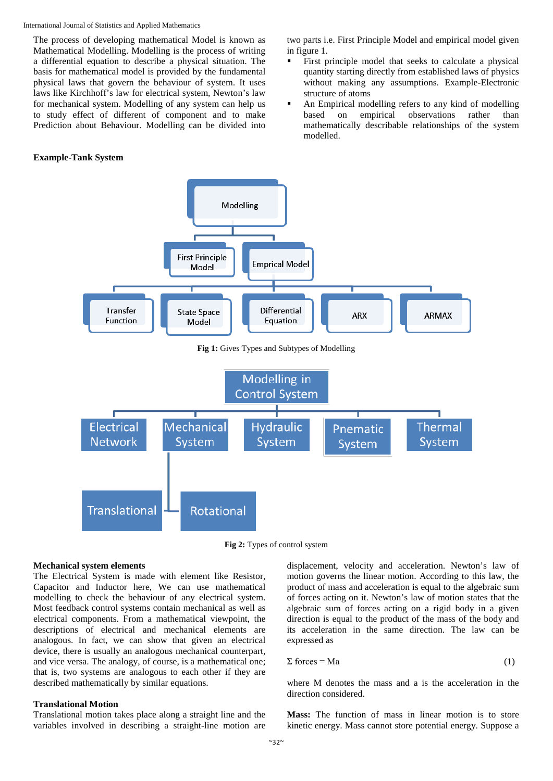The process of developing mathematical Model is known as Mathematical Modelling. Modelling is the process of writing a differential equation to describe a physical situation. The basis for mathematical model is provided by the fundamental physical laws that govern the behaviour of system. It uses laws like Kirchhoff's law for electrical system, Newton's law for mechanical system. Modelling of any system can help us to study effect of different of component and to make Prediction about Behaviour. Modelling can be divided into

#### **Example-Tank System**

two parts i.e. First Principle Model and empirical model given in figure 1.

- First principle model that seeks to calculate a physical quantity starting directly from established laws of physics without making any assumptions. Example-Electronic structure of atoms
- An Empirical modelling refers to any kind of modelling<br>based on empirical observations rather than based on empirical observations rather than mathematically describable relationships of the system modelled.



**Fig 2:** Types of control system

#### **Mechanical system elements**

The Electrical System is made with element like Resistor, Capacitor and Inductor here, We can use mathematical modelling to check the behaviour of any electrical system. Most feedback control systems contain mechanical as well as electrical components. From a mathematical viewpoint, the descriptions of electrical and mechanical elements are analogous. In fact, we can show that given an electrical device, there is usually an analogous mechanical counterpart, and vice versa. The analogy, of course, is a mathematical one; that is, two systems are analogous to each other if they are described mathematically by similar equations.

#### **Translational Motion**

Translational motion takes place along a straight line and the variables involved in describing a straight-line motion are

displacement, velocity and acceleration. Newton's law of motion governs the linear motion. According to this law, the product of mass and acceleration is equal to the algebraic sum of forces acting on it. Newton's law of motion states that the algebraic sum of forces acting on a rigid body in a given direction is equal to the product of the mass of the body and its acceleration in the same direction. The law can be expressed as

$$
\Sigma \text{ forces} = \text{Ma} \tag{1}
$$

where M denotes the mass and a is the acceleration in the direction considered.

**Mass:** The function of mass in linear motion is to store kinetic energy. Mass cannot store potential energy. Suppose a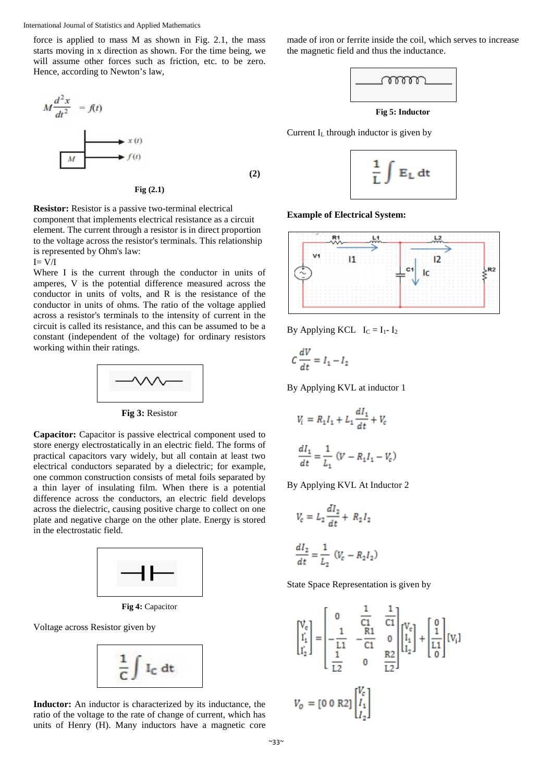force is applied to mass M as shown in Fig. 2.1, the mass starts moving in x direction as shown. For the time being, we will assume other forces such as friction, etc. to be zero. Hence, according to Newton's law,

$$
M \frac{d^2 x}{dt^2} = f(t)
$$
\n
$$
x(t)
$$
\n
$$
M
$$
\n(2)

**Fig (2.1)**

**Resistor:** Resistor is a passive two-terminal electrical component that implements electrical resistance as a circuit element. The current through a resistor is in direct proportion to the voltage across the resistor's terminals. This relationship is represented by Ohm's law:

 $I= V/I$ 

Where I is the current through the conductor in units of amperes, V is the potential difference measured across the conductor in units of volts, and R is the resistance of the conductor in units of ohms. The ratio of the voltage applied across a resistor's terminals to the intensity of current in the circuit is called its resistance, and this can be assumed to be a constant (independent of the voltage) for ordinary resistors working within their ratings.



**Fig 3:** Resistor

**Capacitor:** Capacitor is passive electrical component used to store energy electrostatically in an electric field. The forms of practical capacitors vary widely, but all contain at least two electrical conductors separated by a dielectric; for example, one common construction consists of metal foils separated by a thin layer of insulating film. When there is a potential difference across the conductors, an electric field develops across the dielectric, causing positive charge to collect on one plate and negative charge on the other plate. Energy is stored in the electrostatic field.



**Fig 4:** Capacitor

Voltage across Resistor given by



**Inductor:** An inductor is characterized by its inductance, the ratio of the voltage to the rate of change of current, which has units of Henry (H). Many inductors have a magnetic core

made of iron or ferrite inside the coil, which serves to increase the magnetic field and thus the inductance.



**Fig 5: Inductor**

Current IL through inductor is given by



**Example of Electrical System:**



By Applying KCL  $I_C = I_1 - I_2$ 

$$
C\frac{dV}{dt} = I_1 - I_2
$$

By Applying KVL at inductor 1

$$
V_i = R_1 I_1 + L_1 \frac{dI_1}{dt} + V_c
$$

$$
\frac{dI_1}{dt} = \frac{1}{L_1} (V - R_1 I_1 - V_c)
$$

By Applying KVL At Inductor 2

$$
V_c = L_2 \frac{dI_2}{dt} + R_2 I_2
$$

$$
\frac{dI_2}{dt} = \frac{1}{L_2} \left( V_c - R_2 I_2 \right)
$$

State Space Representation is given by

$$
\begin{bmatrix} V_c \\ I_1' \\ I_2' \end{bmatrix} = \begin{bmatrix} 0 & \frac{1}{C1} & \frac{1}{C1} \\ -\frac{1}{L1} & -\frac{R1}{C1} & 0 \\ \frac{1}{L2} & 0 & \frac{R2}{L2} \end{bmatrix} \begin{bmatrix} V_c \\ I_1 \\ I_2 \end{bmatrix} + \begin{bmatrix} 0 \\ \frac{1}{L1} \\ 0 \end{bmatrix} [V_i]
$$

$$
V_o = [0 \ 0 \ R2] \begin{bmatrix} V_c \\ I_1 \\ I_2 \end{bmatrix}
$$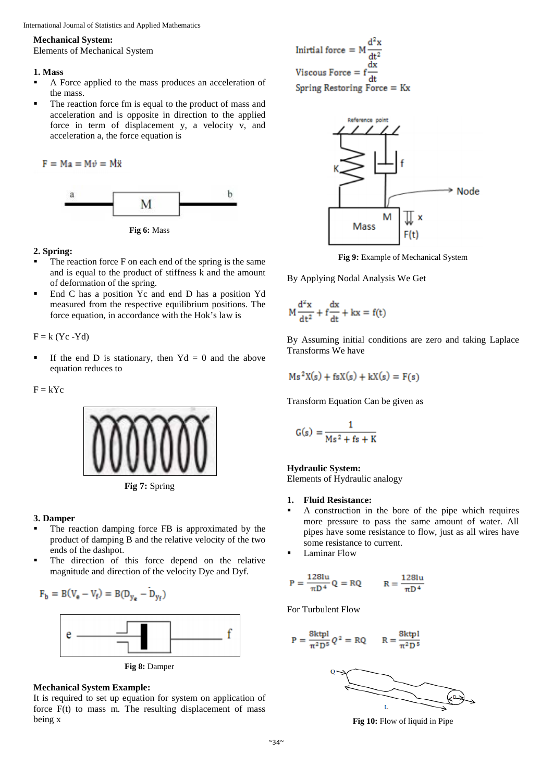#### **Mechanical System:**

Elements of Mechanical System

#### **1. Mass**

- A Force applied to the mass produces an acceleration of the mass.
- The reaction force fm is equal to the product of mass and acceleration and is opposite in direction to the applied force in term of displacement y, a velocity v, and acceleration a, the force equation is

 $F = Ma = M\dot{v} = M\ddot{x}$ 





#### **2. Spring:**

- The reaction force F on each end of the spring is the same and is equal to the product of stiffness k and the amount of deformation of the spring.
- End C has a position Yc and end D has a position Yd measured from the respective equilibrium positions. The force equation, in accordance with the Hok's law is

 $F = k (Yc - Yd)$ 

If the end D is stationary, then  $Yd = 0$  and the above equation reduces to

 $F = kYc$ 





#### **3. Damper**

- The reaction damping force FB is approximated by the product of damping B and the relative velocity of the two ends of the dashpot.
- The direction of this force depend on the relative magnitude and direction of the velocity Dye and Dyf.

$$
F_b=B(V_e-V_f)=B(D_{y_e}-D_{y_f})
$$



**Fig 8:** Damper

# **Mechanical System Example:**

It is required to set up equation for system on application of force  $F(t)$  to mass m. The resulting displacement of mass being x

Initial force = 
$$
M \frac{d^2x}{dt^2}
$$
  
Viscous Force =  $f \frac{dx}{dt}$   
Spring Restoring Force = Kx



**Fig 9:** Example of Mechanical System

By Applying Nodal Analysis We Get

$$
M\frac{d^2x}{dt^2} + f\frac{dx}{dt} + kx = f(t)
$$

By Assuming initial conditions are zero and taking Laplace Transforms We have

$$
Ms^2X(s) + fsX(s) + kX(s) = F(s)
$$

Transform Equation Can be given as

$$
G(s) = \frac{1}{Ms^2 + fs + K}
$$

#### **Hydraulic System:**

Elements of Hydraulic analogy

#### **1. Fluid Resistance:**

- A construction in the bore of the pipe which requires more pressure to pass the same amount of water. All pipes have some resistance to flow, just as all wires have some resistance to current.
- Laminar Flow

$$
P = \frac{128lu}{\pi D^4} Q = RQ \qquad R = \frac{128lu}{\pi D^4}
$$

For Turbulent Flow

$$
P = \frac{8k\text{tpl}}{\pi^2 D^5} Q^2 = RQ \qquad R = \frac{8k\text{tpl}}{\pi^2 D^5}
$$



**Fig 10:** Flow of liquid in Pipe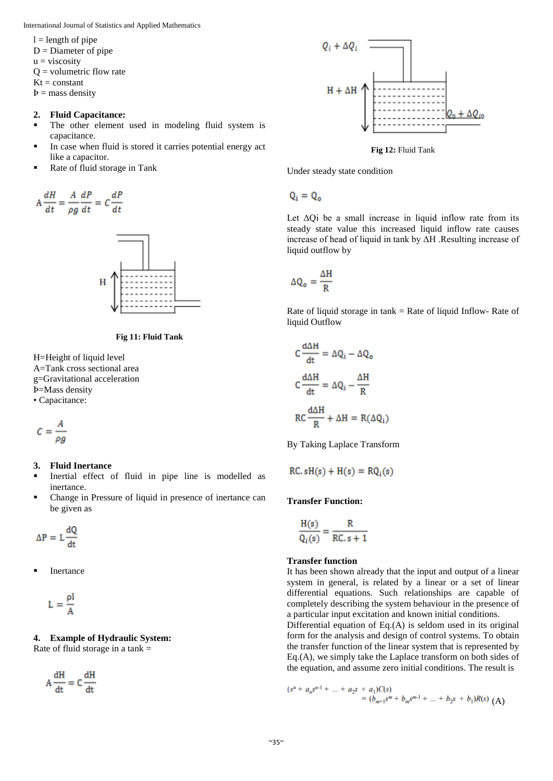$l =$  length of pipe

- $D =$ Diameter of pipe
- $u = \text{viscosity}$
- $Q =$  volumetric flow rate
- $Kt = constant$
- $$

#### **2. Fluid Capacitance:**

- The other element used in modeling fluid system is capacitance.
- In case when fluid is stored it carries potential energy act like a capacitor.
- Rate of fluid storage in Tank

$$
A\frac{dH}{dt} = \frac{A}{\rho g}\frac{dP}{dt} = C\frac{dP}{dt}
$$





H=Height of liquid level A=Tank cross sectional area g=Gravitational acceleration Ϸ=Mass density • Capacitance:

$$
C=\frac{A}{\rho g}
$$

### **3. Fluid Inertance**

- Inertial effect of fluid in pipe line is modelled as inertance.
- Change in Pressure of liquid in presence of inertance can be given as

 $\Delta P = L \frac{dQ}{dt}$ 

Inertance

$$
L = \frac{\rho l}{A}
$$

#### **4. Example of Hydraulic System:**  Rate of fluid storage in a tank =

 $A\frac{dH}{dt} = C\frac{dH}{dt}$ 



**Fig 12:** Fluid Tank

Under steady state condition

 $Q_i = Q_o$ 

Let ΔQi be a small increase in liquid inflow rate from its steady state value this increased liquid inflow rate causes increase of head of liquid in tank by ΔH .Resulting increase of liquid outflow by

$$
\Delta Q_o = \frac{\Delta H}{R}
$$

Rate of liquid storage in  $tanh = Rate$  of liquid Inflow-Rate of liquid Outflow

$$
C \frac{d\Delta H}{dt} = \Delta Q_i - \Delta Q_o
$$

$$
C \frac{d\Delta H}{dt} = \Delta Q_i - \frac{\Delta H}{R}
$$

$$
RC \frac{d\Delta H}{R} + \Delta H = R(\Delta Q_i)
$$

By Taking Laplace Transform

$$
RC. sH(s) + H(s) = RQ_i(s)
$$

#### **Transfer Function:**

$$
\frac{H(s)}{Q_i(s)} = \frac{R}{RC. s + 1}
$$

#### **Transfer function**

It has been shown already that the input and output of a linear system in general, is related by a linear or a set of linear differential equations. Such relationships are capable of completely describing the system behaviour in the presence of a particular input excitation and known initial conditions.

Differential equation of Eq.(A) is seldom used in its original form for the analysis and design of control systems. To obtain the transfer function of the linear system that is represented by Eq.(A), we simply take the Laplace transform on both sides of the equation, and assume zero initial conditions. The result is

$$
\begin{aligned} (s^n + a_n s^{n-1} + \dots + a_2 s + a_1)C(s) \\ &= (b_{m+1} s^m + b_m s^{m-1} + \dots + b_2 s + b_1)R(s) \end{aligned} \quad \text{(A)}
$$